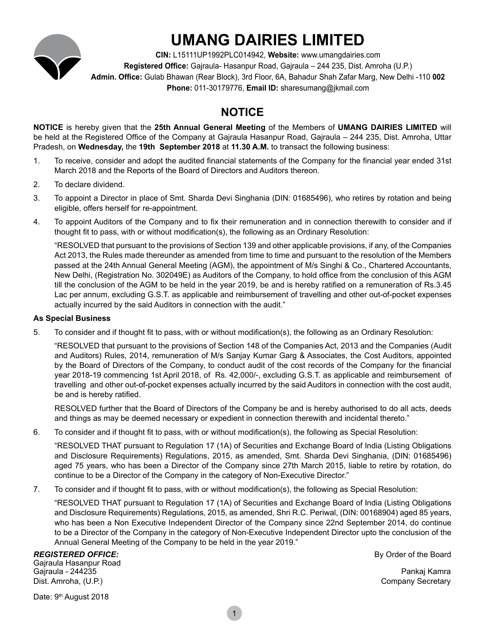

# **UMANG DAIRIES LIMITED**

**CIN:** L15111UP1992PLC014942, **Website:** www.umangdairies.com **Registered Office:** Gajraula- Hasanpur Road, Gajraula – 244 235, Dist. Amroha (U.P.) **Admin. Office:** Gulab Bhawan (Rear Block), 3rd Floor, 6A, Bahadur Shah Zafar Marg, New Delhi -110 **002 Phone:** 011-30179776, **Email ID:** sharesumang@jkmail.com

# **NOTICE**

**NOTICE** is hereby given that the **25th Annual General Meeting** of the Members of **UMANG DAIRIES LIMITED** will be held at the Registered Office of the Company at Gajraula Hasanpur Road, Gajraula – 244 235, Dist. Amroha, Uttar Pradesh, on **Wednesday,** the **19th September 2018** at **11.30 A.M.** to transact the following business:

- 1. To receive, consider and adopt the audited financial statements of the Company for the financial year ended 31st March 2018 and the Reports of the Board of Directors and Auditors thereon.
- 2. To declare dividend.
- 3. To appoint a Director in place of Smt. Sharda Devi Singhania (DIN: 01685496), who retires by rotation and being eligible, offers herself for re-appointment.
- 4. To appoint Auditors of the Company and to fix their remuneration and in connection therewith to consider and if thought fit to pass, with or without modification(s), the following as an Ordinary Resolution:

"RESOLVED that pursuant to the provisions of Section 139 and other applicable provisions, if any, of the Companies Act 2013, the Rules made thereunder as amended from time to time and pursuant to the resolution of the Members passed at the 24th Annual General Meeting (AGM), the appointment of M/s Singhi & Co., Chartered Accountants, New Delhi, (Registration No. 302049E) as Auditors of the Company, to hold office from the conclusion of this AGM till the conclusion of the AGM to be held in the year 2019, be and is hereby ratified on a remuneration of Rs.3.45 Lac per annum, excluding G.S.T. as applicable and reimbursement of travelling and other out-of-pocket expenses actually incurred by the said Auditors in connection with the audit."

### **As Special Business**

5. To consider and if thought fit to pass, with or without modification(s), the following as an Ordinary Resolution:

"RESOLVED that pursuant to the provisions of Section 148 of the Companies Act, 2013 and the Companies (Audit and Auditors) Rules, 2014, remuneration of M/s Sanjay Kumar Garg & Associates, the Cost Auditors, appointed by the Board of Directors of the Company, to conduct audit of the cost records of the Company for the financial year 2018-19 commencing 1st April 2018, of Rs. 42,000/-, excluding G.S.T. as applicable and reimbursement of travelling and other out-of-pocket expenses actually incurred by the said Auditors in connection with the cost audit, be and is hereby ratified.

RESOLVED further that the Board of Directors of the Company be and is hereby authorised to do all acts, deeds and things as may be deemed necessary or expedient in connection therewith and incidental thereto."

6. To consider and if thought fit to pass, with or without modification(s), the following as Special Resolution:

"RESOLVED THAT pursuant to Regulation 17 (1A) of Securities and Exchange Board of India (Listing Obligations and Disclosure Requirements) Regulations, 2015, as amended, Smt. Sharda Devi Singhania, (DIN: 01685496) aged 75 years, who has been a Director of the Company since 27th March 2015, liable to retire by rotation, do continue to be a Director of the Company in the category of Non-Executive Director."

7. To consider and if thought fit to pass, with or without modification(s), the following as Special Resolution:

"RESOLVED THAT pursuant to Regulation 17 (1A) of Securities and Exchange Board of India (Listing Obligations and Disclosure Requirements) Regulations, 2015, as amended, Shri R.C. Periwal, (DIN: 00168904) aged 85 years, who has been a Non Executive Independent Director of the Company since 22nd September 2014, do continue to be a Director of the Company in the category of Non-Executive Independent Director upto the conclusion of the Annual General Meeting of the Company to be held in the year 2019."

### **REGISTERED OFFICE: By Order of the Board** Gajraula Hasanpur Road

Gajraula - 244235 Pankaj Kamra Dist. Amroha, (U.P.) Company Secretary

Date: 9<sup>th</sup> August 2018

1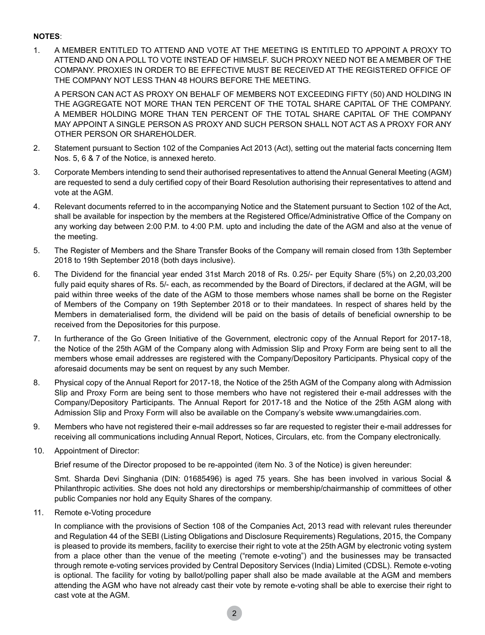## **Notes**:

1. A MEMBER ENTITLED TO ATTEND AND VOTE AT THE MEETING IS ENTITLED TO APPOINT A PROXY TO ATTEND AND ON A POLL TO VOTE INSTEAD OF HIMSELF. SUCH PROXY NEED NOT BE A MEMBER OF THE COMPANY. PROXIES IN ORDER TO BE EFFECTIVE MUST BE RECEIVED AT THE REGISTERED OFFICE OF THE COMPANY NOT LESS THAN 48 HOURS BEFORE THE MEETING.

A PERSON CAN ACT AS PROXY ON BEHALF OF MEMBERS NOT EXCEEDING FIFTY (50) AND HOLDING IN THE AGGREGATE NOT MORE THAN TEN PERCENT OF THE TOTAL SHARE CAPITAL OF THE COMPANY. A MEMBER HOLDING MORE THAN TEN PERCENT OF THE TOTAL SHARE CAPITAL OF THE COMPANY MAY APPOINT A SINGLE PERSON AS PROXY AND SUCH PERSON SHALL NOT ACT AS A PROXY FOR ANY OTHER PERSON OR SHAREHOLDER.

- 2. Statement pursuant to Section 102 of the Companies Act 2013 (Act), setting out the material facts concerning Item Nos. 5, 6 & 7 of the Notice, is annexed hereto.
- 3. Corporate Members intending to send their authorised representatives to attend the Annual General Meeting (AGM) are requested to send a duly certified copy of their Board Resolution authorising their representatives to attend and vote at the AGM.
- 4. Relevant documents referred to in the accompanying Notice and the Statement pursuant to Section 102 of the Act, shall be available for inspection by the members at the Registered Office/Administrative Office of the Company on any working day between 2:00 P.M. to 4:00 P.M. upto and including the date of the AGM and also at the venue of the meeting.
- 5. The Register of Members and the Share Transfer Books of the Company will remain closed from 13th September 2018 to 19th September 2018 (both days inclusive).
- 6. The Dividend for the financial year ended 31st March 2018 of Rs. 0.25/- per Equity Share (5%) on 2,20,03,200 fully paid equity shares of Rs. 5/- each, as recommended by the Board of Directors, if declared at the AGM, will be paid within three weeks of the date of the AGM to those members whose names shall be borne on the Register of Members of the Company on 19th September 2018 or to their mandatees. In respect of shares held by the Members in dematerialised form, the dividend will be paid on the basis of details of beneficial ownership to be received from the Depositories for this purpose.
- 7. In furtherance of the Go Green Initiative of the Government, electronic copy of the Annual Report for 2017-18, the Notice of the 25th AGM of the Company along with Admission Slip and Proxy Form are being sent to all the members whose email addresses are registered with the Company/Depository Participants. Physical copy of the aforesaid documents may be sent on request by any such Member.
- 8. Physical copy of the Annual Report for 2017-18, the Notice of the 25th AGM of the Company along with Admission Slip and Proxy Form are being sent to those members who have not registered their e-mail addresses with the Company/Depository Participants. The Annual Report for 2017-18 and the Notice of the 25th AGM along with Admission Slip and Proxy Form will also be available on the Company's website www.umangdairies.com.
- 9. Members who have not registered their e-mail addresses so far are requested to register their e-mail addresses for receiving all communications including Annual Report, Notices, Circulars, etc. from the Company electronically.
- 10. Appointment of Director:

Brief resume of the Director proposed to be re-appointed (item No. 3 of the Notice) is given hereunder:

Smt. Sharda Devi Singhania (DIN: 01685496) is aged 75 years. She has been involved in various Social & Philanthropic activities. She does not hold any directorships or membership/chairmanship of committees of other public Companies nor hold any Equity Shares of the company.

11. Remote e-Voting procedure

In compliance with the provisions of Section 108 of the Companies Act, 2013 read with relevant rules thereunder and Regulation 44 of the SEBI (Listing Obligations and Disclosure Requirements) Regulations, 2015, the Company is pleased to provide its members, facility to exercise their right to vote at the 25th AGM by electronic voting system from a place other than the venue of the meeting ("remote e-voting") and the businesses may be transacted through remote e-voting services provided by Central Depository Services (India) Limited (CDSL). Remote e-voting is optional. The facility for voting by ballot/polling paper shall also be made available at the AGM and members attending the AGM who have not already cast their vote by remote e-voting shall be able to exercise their right to cast vote at the AGM.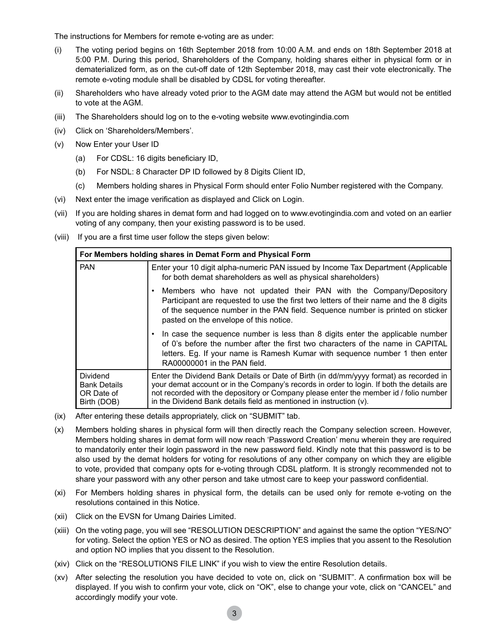The instructions for Members for remote e-voting are as under:

- (i) The voting period begins on 16th September 2018 from 10:00 A.M. and ends on 18th September 2018 at 5:00 P.M. During this period, Shareholders of the Company, holding shares either in physical form or in dematerialized form, as on the cut-off date of 12th September 2018, may cast their vote electronically. The remote e-voting module shall be disabled by CDSL for voting thereafter.
- (ii) Shareholders who have already voted prior to the AGM date may attend the AGM but would not be entitled to vote at the AGM.
- (iii) The Shareholders should log on to the e-voting website www.evotingindia.com
- (iv) Click on 'Shareholders/Members'.
- (v) Now Enter your User ID
	- (a) For CDSL: 16 digits beneficiary ID,
	- (b) For NSDL: 8 Character DP ID followed by 8 Digits Client ID,
	- (c) Members holding shares in Physical Form should enter Folio Number registered with the Company.
- (vi) Next enter the image verification as displayed and Click on Login.
- (vii) If you are holding shares in demat form and had logged on to www.evotingindia.com and voted on an earlier voting of any company, then your existing password is to be used.
- (viii) If you are a first time user follow the steps given below:

| For Members holding shares in Demat Form and Physical Form          |                                                                                                                                                                                                                                                                                                                                                     |  |
|---------------------------------------------------------------------|-----------------------------------------------------------------------------------------------------------------------------------------------------------------------------------------------------------------------------------------------------------------------------------------------------------------------------------------------------|--|
| <b>PAN</b>                                                          | Enter your 10 digit alpha-numeric PAN issued by Income Tax Department (Applicable<br>for both demat shareholders as well as physical shareholders)                                                                                                                                                                                                  |  |
|                                                                     | Members who have not updated their PAN with the Company/Depository<br>Participant are requested to use the first two letters of their name and the 8 digits<br>of the sequence number in the PAN field. Sequence number is printed on sticker<br>pasted on the envelope of this notice.                                                             |  |
|                                                                     | • In case the sequence number is less than 8 digits enter the applicable number<br>of 0's before the number after the first two characters of the name in CAPITAL<br>letters. Eq. If your name is Ramesh Kumar with sequence number 1 then enter<br>RA00000001 in the PAN field.                                                                    |  |
| <b>Dividend</b><br><b>Bank Details</b><br>OR Date of<br>Birth (DOB) | Enter the Dividend Bank Details or Date of Birth (in dd/mm/yyyy format) as recorded in<br>your demat account or in the Company's records in order to login. If both the details are<br>not recorded with the depository or Company please enter the member id / folio number<br>in the Dividend Bank details field as mentioned in instruction (v). |  |

- (ix) After entering these details appropriately, click on "SUBMIT" tab.
- (x) Members holding shares in physical form will then directly reach the Company selection screen. However, Members holding shares in demat form will now reach 'Password Creation' menu wherein they are required to mandatorily enter their login password in the new password field. Kindly note that this password is to be also used by the demat holders for voting for resolutions of any other company on which they are eligible to vote, provided that company opts for e-voting through CDSL platform. It is strongly recommended not to share your password with any other person and take utmost care to keep your password confidential.
- (xi) For Members holding shares in physical form, the details can be used only for remote e-voting on the resolutions contained in this Notice.
- (xii) Click on the EVSN for Umang Dairies Limited.
- (xiii) On the voting page, you will see "RESOLUTION DESCRIPTION" and against the same the option "YES/NO" for voting. Select the option YES or NO as desired. The option YES implies that you assent to the Resolution and option NO implies that you dissent to the Resolution.
- (xiv) Click on the "RESOLUTIONS FILE LINK" if you wish to view the entire Resolution details.
- (xv) After selecting the resolution you have decided to vote on, click on "SUBMIT". A confirmation box will be displayed. If you wish to confirm your vote, click on "OK", else to change your vote, click on "CANCEL" and accordingly modify your vote.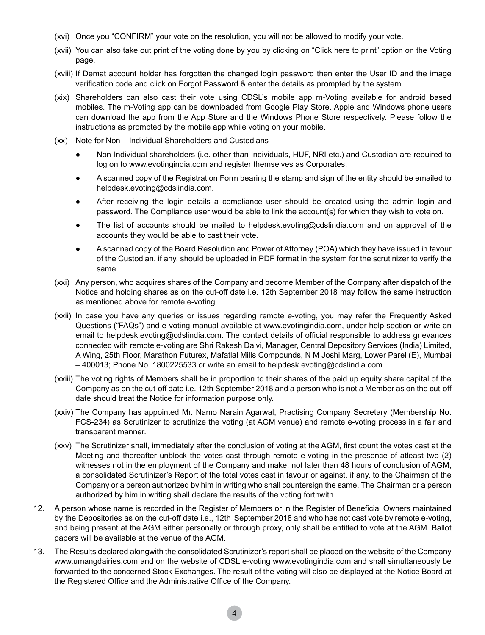- (xvi) Once you "CONFIRM" your vote on the resolution, you will not be allowed to modify your vote.
- (xvii) You can also take out print of the voting done by you by clicking on "Click here to print" option on the Voting page.
- (xviii) If Demat account holder has forgotten the changed login password then enter the User ID and the image verification code and click on Forgot Password & enter the details as prompted by the system.
- (xix) Shareholders can also cast their vote using CDSL's mobile app m-Voting available for android based mobiles. The m-Voting app can be downloaded from Google Play Store. Apple and Windows phone users can download the app from the App Store and the Windows Phone Store respectively. Please follow the instructions as prompted by the mobile app while voting on your mobile.
- (xx) Note for Non Individual Shareholders and Custodians
	- Non-Individual shareholders (i.e. other than Individuals, HUF, NRI etc.) and Custodian are required to log on to www.evotingindia.com and register themselves as Corporates.
	- A scanned copy of the Registration Form bearing the stamp and sign of the entity should be emailed to helpdesk.evoting@cdslindia.com.
	- After receiving the login details a compliance user should be created using the admin login and password. The Compliance user would be able to link the account(s) for which they wish to vote on.
	- The list of accounts should be mailed to helpdesk.evoting@cdslindia.com and on approval of the accounts they would be able to cast their vote.
	- A scanned copy of the Board Resolution and Power of Attorney (POA) which they have issued in favour of the Custodian, if any, should be uploaded in PDF format in the system for the scrutinizer to verify the same.
- (xxi) Any person, who acquires shares of the Company and become Member of the Company after dispatch of the Notice and holding shares as on the cut-off date i.e. 12th September 2018 may follow the same instruction as mentioned above for remote e-voting.
- (xxii) In case you have any queries or issues regarding remote e-voting, you may refer the Frequently Asked Questions ("FAQs") and e-voting manual available at www.evotingindia.com, under help section or write an email to helpdesk.evoting@cdslindia.com. The contact details of official responsible to address grievances connected with remote e-voting are Shri Rakesh Dalvi, Manager, Central Depository Services (India) Limited, A Wing, 25th Floor, Marathon Futurex, Mafatlal Mills Compounds, N M Joshi Marg, Lower Parel (E), Mumbai – 400013; Phone No. 1800225533 or write an email to helpdesk.evoting@cdslindia.com.
- (xxiii) The voting rights of Members shall be in proportion to their shares of the paid up equity share capital of the Company as on the cut-off date i.e. 12th September 2018 and a person who is not a Member as on the cut-off date should treat the Notice for information purpose only.
- (xxiv) The Company has appointed Mr. Namo Narain Agarwal, Practising Company Secretary (Membership No. FCS-234) as Scrutinizer to scrutinize the voting (at AGM venue) and remote e-voting process in a fair and transparent manner.
- (xxv) The Scrutinizer shall, immediately after the conclusion of voting at the AGM, first count the votes cast at the Meeting and thereafter unblock the votes cast through remote e-voting in the presence of atleast two (2) witnesses not in the employment of the Company and make, not later than 48 hours of conclusion of AGM, a consolidated Scrutinizer's Report of the total votes cast in favour or against, if any, to the Chairman of the Company or a person authorized by him in writing who shall countersign the same. The Chairman or a person authorized by him in writing shall declare the results of the voting forthwith.
- 12. A person whose name is recorded in the Register of Members or in the Register of Beneficial Owners maintained by the Depositories as on the cut-off date i.e., 12th September 2018 and who has not cast vote by remote e-voting, and being present at the AGM either personally or through proxy, only shall be entitled to vote at the AGM. Ballot papers will be available at the venue of the AGM.
- 13. The Results declared alongwith the consolidated Scrutinizer's report shall be placed on the website of the Company www.umangdairies.com and on the website of CDSL e-voting www.evotingindia.com and shall simultaneously be forwarded to the concerned Stock Exchanges. The result of the voting will also be displayed at the Notice Board at the Registered Office and the Administrative Office of the Company.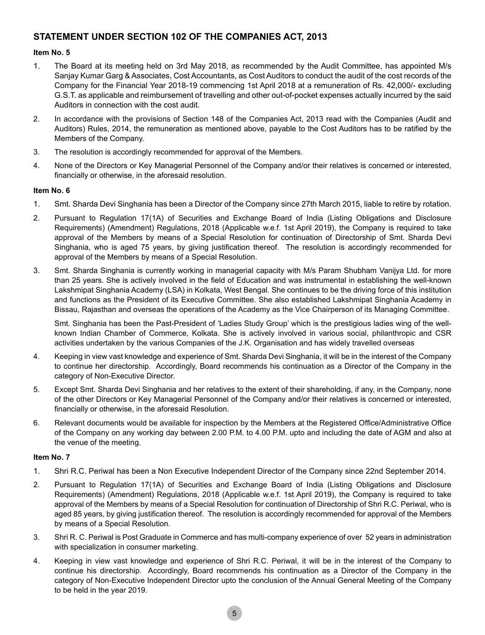# **STATEMENT UNDER SECTION 102 OF THE COMPANIES ACT, 2013**

## **Item No. 5**

- 1. The Board at its meeting held on 3rd May 2018, as recommended by the Audit Committee, has appointed M/s Sanjay Kumar Garg & Associates, Cost Accountants, as Cost Auditors to conduct the audit of the cost records of the Company for the Financial Year 2018-19 commencing 1st April 2018 at a remuneration of Rs. 42,000/- excluding G.S.T. as applicable and reimbursement of travelling and other out-of-pocket expenses actually incurred by the said Auditors in connection with the cost audit.
- 2. In accordance with the provisions of Section 148 of the Companies Act, 2013 read with the Companies (Audit and Auditors) Rules, 2014, the remuneration as mentioned above, payable to the Cost Auditors has to be ratified by the Members of the Company.
- 3. The resolution is accordingly recommended for approval of the Members.
- 4. None of the Directors or Key Managerial Personnel of the Company and/or their relatives is concerned or interested, financially or otherwise, in the aforesaid resolution.

## **Item No. 6**

- 1. Smt. Sharda Devi Singhania has been a Director of the Company since 27th March 2015, liable to retire by rotation.
- 2. Pursuant to Regulation 17(1A) of Securities and Exchange Board of India (Listing Obligations and Disclosure Requirements) (Amendment) Regulations, 2018 (Applicable w.e.f. 1st April 2019), the Company is required to take approval of the Members by means of a Special Resolution for continuation of Directorship of Smt. Sharda Devi Singhania, who is aged 75 years, by giving justification thereof. The resolution is accordingly recommended for approval of the Members by means of a Special Resolution.
- 3. Smt. Sharda Singhania is currently working in managerial capacity with M/s Param Shubham Vanijya Ltd. for more than 25 years. She is actively involved in the field of Education and was instrumental in establishing the well-known Lakshmipat Singhania Academy (LSA) in Kolkata, West Bengal. She continues to be the driving force of this institution and functions as the President of its Executive Committee. She also established Lakshmipat Singhania Academy in Bissau, Rajasthan and overseas the operations of the Academy as the Vice Chairperson of its Managing Committee.

Smt. Singhania has been the Past-President of 'Ladies Study Group' which is the prestigious ladies wing of the wellknown Indian Chamber of Commerce, Kolkata. She is actively involved in various social, philanthropic and CSR activities undertaken by the various Companies of the J.K. Organisation and has widely travelled overseas

- 4. Keeping in view vast knowledge and experience of Smt. Sharda Devi Singhania, it will be in the interest of the Company to continue her directorship. Accordingly, Board recommends his continuation as a Director of the Company in the category of Non-Executive Director.
- 5. Except Smt. Sharda Devi Singhania and her relatives to the extent of their shareholding, if any, in the Company, none of the other Directors or Key Managerial Personnel of the Company and/or their relatives is concerned or interested, financially or otherwise, in the aforesaid Resolution.
- 6. Relevant documents would be available for inspection by the Members at the Registered Office/Administrative Office of the Company on any working day between 2.00 P.M. to 4.00 P.M. upto and including the date of AGM and also at the venue of the meeting.

## **Item No. 7**

- 1. Shri R.C. Periwal has been a Non Executive Independent Director of the Company since 22nd September 2014.
- 2. Pursuant to Regulation 17(1A) of Securities and Exchange Board of India (Listing Obligations and Disclosure Requirements) (Amendment) Regulations, 2018 (Applicable w.e.f. 1st April 2019), the Company is required to take approval of the Members by means of a Special Resolution for continuation of Directorship of Shri R.C. Periwal, who is aged 85 years, by giving justification thereof. The resolution is accordingly recommended for approval of the Members by means of a Special Resolution.
- 3. Shri R. C. Periwal is Post Graduate in Commerce and has multi-company experience of over 52 years in administration with specialization in consumer marketing.
- 4. Keeping in view vast knowledge and experience of Shri R.C. Periwal, it will be in the interest of the Company to continue his directorship. Accordingly, Board recommends his continuation as a Director of the Company in the category of Non-Executive Independent Director upto the conclusion of the Annual General Meeting of the Company to be held in the year 2019.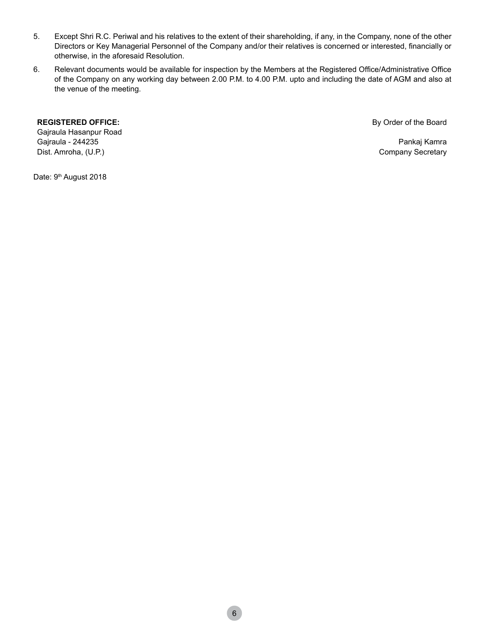- 5. Except Shri R.C. Periwal and his relatives to the extent of their shareholding, if any, in the Company, none of the other Directors or Key Managerial Personnel of the Company and/or their relatives is concerned or interested, financially or otherwise, in the aforesaid Resolution.
- 6. Relevant documents would be available for inspection by the Members at the Registered Office/Administrative Office of the Company on any working day between 2.00 P.M. to 4.00 P.M. upto and including the date of AGM and also at the venue of the meeting.

#### **REGISTERED OFFICE:**

Gajraula Hasanpur Road Gajraula - 244235 Dist. Amroha, (U.P.)

By Order of the Board

Pankaj Kamra Company Secretary

Date: 9<sup>th</sup> August 2018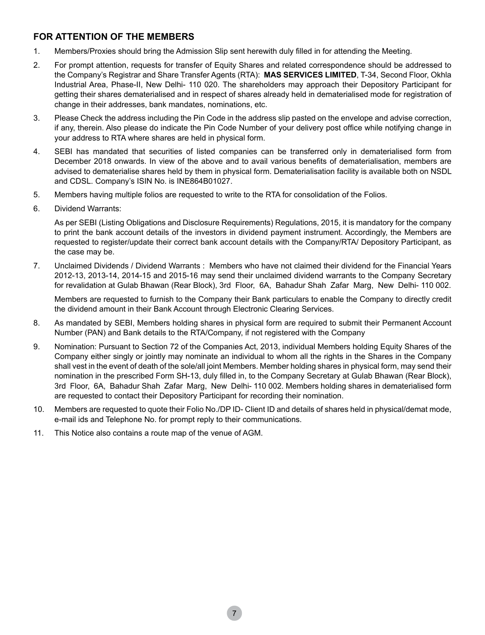# **FOR ATTENTION OF THE MEMBERS**

- 1. Members/Proxies should bring the Admission Slip sent herewith duly filled in for attending the Meeting.
- 2. For prompt attention, requests for transfer of Equity Shares and related correspondence should be addressed to the Company's Registrar and Share Transfer Agents (RTA): **MAS SERVICES LIMITED**, T-34, Second Floor, Okhla Industrial Area, Phase-II, New Delhi- 110 020. The shareholders may approach their Depository Participant for getting their shares dematerialised and in respect of shares already held in dematerialised mode for registration of change in their addresses, bank mandates, nominations, etc.
- 3. Please Check the address including the Pin Code in the address slip pasted on the envelope and advise correction, if any, therein. Also please do indicate the Pin Code Number of your delivery post office while notifying change in your address to RTA where shares are held in physical form.
- 4. SEBI has mandated that securities of listed companies can be transferred only in dematerialised form from December 2018 onwards. In view of the above and to avail various benefits of dematerialisation, members are advised to dematerialise shares held by them in physical form. Dematerialisation facility is available both on NSDL and CDSL. Company's ISIN No. is INE864B01027.
- 5. Members having multiple folios are requested to write to the RTA for consolidation of the Folios.
- 6. Dividend Warrants:

As per SEBI (Listing Obligations and Disclosure Requirements) Regulations, 2015, it is mandatory for the company to print the bank account details of the investors in dividend payment instrument. Accordingly, the Members are requested to register/update their correct bank account details with the Company/RTA/ Depository Participant, as the case may be.

7. Unclaimed Dividends / Dividend Warrants : Members who have not claimed their dividend for the Financial Years 2012-13, 2013-14, 2014-15 and 2015-16 may send their unclaimed dividend warrants to the Company Secretary for revalidation at Gulab Bhawan (Rear Block), 3rd Floor, 6A, Bahadur Shah Zafar Marg, New Delhi- 110 002.

Members are requested to furnish to the Company their Bank particulars to enable the Company to directly credit the dividend amount in their Bank Account through Electronic Clearing Services.

- 8. As mandated by SEBI, Members holding shares in physical form are required to submit their Permanent Account Number (PAN) and Bank details to the RTA/Company, if not registered with the Company
- 9. Nomination: Pursuant to Section 72 of the Companies Act, 2013, individual Members holding Equity Shares of the Company either singly or jointly may nominate an individual to whom all the rights in the Shares in the Company shall vest in the event of death of the sole/all joint Members. Member holding shares in physical form, may send their nomination in the prescribed Form SH-13, duly filled in, to the Company Secretary at Gulab Bhawan (Rear Block), 3rd Floor, 6A, Bahadur Shah Zafar Marg, New Delhi- 110 002. Members holding shares in dematerialised form are requested to contact their Depository Participant for recording their nomination.
- 10. Members are requested to quote their Folio No./DP ID- Client ID and details of shares held in physical/demat mode, e-mail ids and Telephone No. for prompt reply to their communications.
- 11. This Notice also contains a route map of the venue of AGM.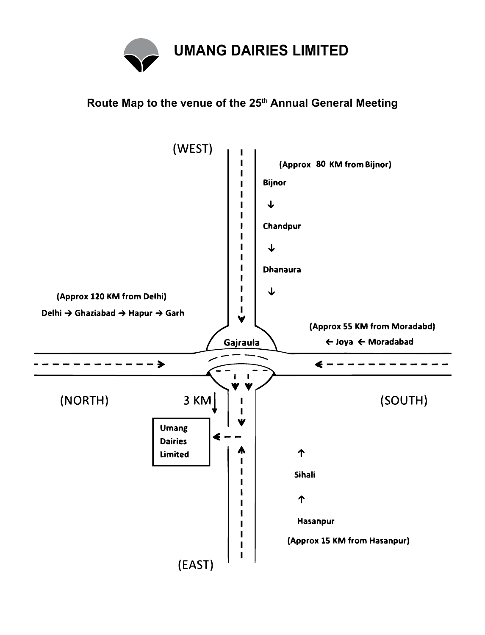

# **Route Map to the venue of the 25th Annual General Meeting**

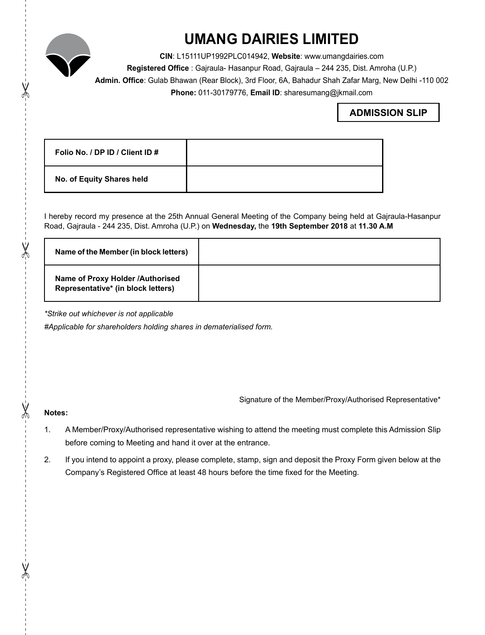

X

X

 $\chi$ 

X

# **UMANG DAIRIES LIMITED**

**CIN**: L15111UP1992PLC014942, **Website**: www.umangdairies.com **Registered Office** : Gajraula- Hasanpur Road, Gajraula – 244 235, Dist. Amroha (U.P.) **Admin. Office**: Gulab Bhawan (Rear Block), 3rd Floor, 6A, Bahadur Shah Zafar Marg, New Delhi -110 002 **Phone:** 011-30179776, **Email ID**: sharesumang@jkmail.com

# **ADMISSION SLIP**

| Folio No. / DP ID / Client ID # |  |
|---------------------------------|--|
| No. of Equity Shares held       |  |

I hereby record my presence at the 25th Annual General Meeting of the Company being held at Gajraula-Hasanpur Road, Gajraula - 244 235, Dist. Amroha (U.P.) on **Wednesday,** the **19th September 2018** at **11.30 A.M**

| Name of the Member (in block letters)                                  |  |
|------------------------------------------------------------------------|--|
| Name of Proxy Holder /Authorised<br>Representative* (in block letters) |  |

*\*Strike out whichever is not applicable*

*#Applicable for shareholders holding shares in dematerialised form.*

Signature of the Member/Proxy/Authorised Representative\*

## **Notes:**

- 1. A Member/Proxy/Authorised representative wishing to attend the meeting must complete this Admission Slip before coming to Meeting and hand it over at the entrance.
- 2. If you intend to appoint a proxy, please complete, stamp, sign and deposit the Proxy Form given below at the Company's Registered Office at least 48 hours before the time fixed for the Meeting.